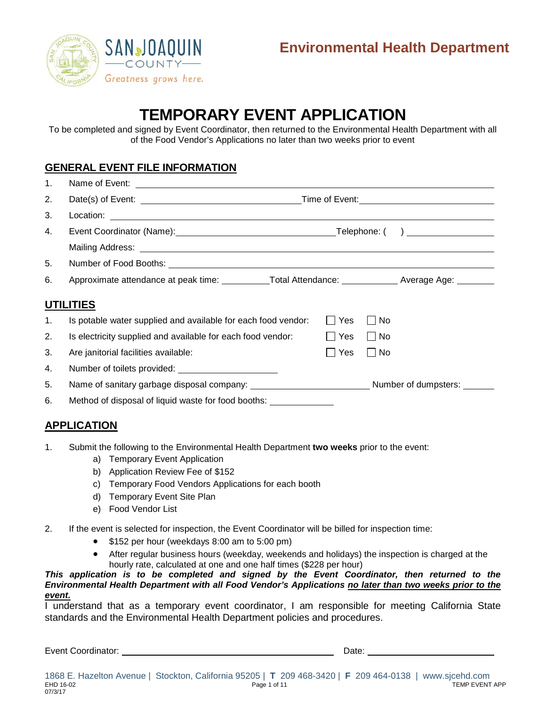

# **TEMPORARY EVENT APPLICATION**

To be completed and signed by Event Coordinator, then returned to the Environmental Health Department with all of the Food Vendor's Applications no later than two weeks prior to event

### **GENERAL EVENT FILE INFORMATION**

| 1.          |                                                                                                            |                            |       |  |
|-------------|------------------------------------------------------------------------------------------------------------|----------------------------|-------|--|
| 2.          |                                                                                                            |                            |       |  |
| 3.          |                                                                                                            |                            |       |  |
| 4.          | Event Coordinator (Name): Coordinator (Name): Felephone: (                                                 |                            |       |  |
|             |                                                                                                            |                            |       |  |
| 5.          |                                                                                                            |                            |       |  |
| 6.          | Approximate attendance at peak time: ____________Total Attendance: ______________ Average Age: ________    |                            |       |  |
|             | <b>UTILITIES</b>                                                                                           |                            |       |  |
| $1_{\cdot}$ | Is potable water supplied and available for each food vendor:                                              | l IYes                     | No.   |  |
| 2.          | Is electricity supplied and available for each food vendor:                                                | <b>Yes</b>                 | l INo |  |
| 3.          | Are janitorial facilities available:                                                                       | Yes<br><b>In the State</b> | No    |  |
| 4.          | Number of toilets provided: Number of toilets provided:                                                    |                            |       |  |
| 5.          | Name of sanitary garbage disposal company: _________________________________Number of dumpsters: _________ |                            |       |  |
| 6.          | Method of disposal of liquid waste for food booths: ______________                                         |                            |       |  |

### **APPLICATION**

- 1. Submit the following to the Environmental Health Department **two weeks** prior to the event:
	- a) Temporary Event Application
	- b) Application Review Fee of \$152
	- c) Temporary Food Vendors Applications for each booth
	- d) Temporary Event Site Plan
	- e) Food Vendor List
- 2. If the event is selected for inspection, the Event Coordinator will be billed for inspection time:
	- \$152 per hour (weekdays 8:00 am to 5:00 pm)
	- After regular business hours (weekday, weekends and holidays) the inspection is charged at the hourly rate, calculated at one and one half times (\$228 per hour)

*This application is to be completed and signed by the Event Coordinator, then returned to the Environmental Health Department with all Food Vendor's Applications no later than two weeks prior to the event.*

I understand that as a temporary event coordinator, I am responsible for meeting California State standards and the Environmental Health Department policies and procedures.

Event Coordinator: Date: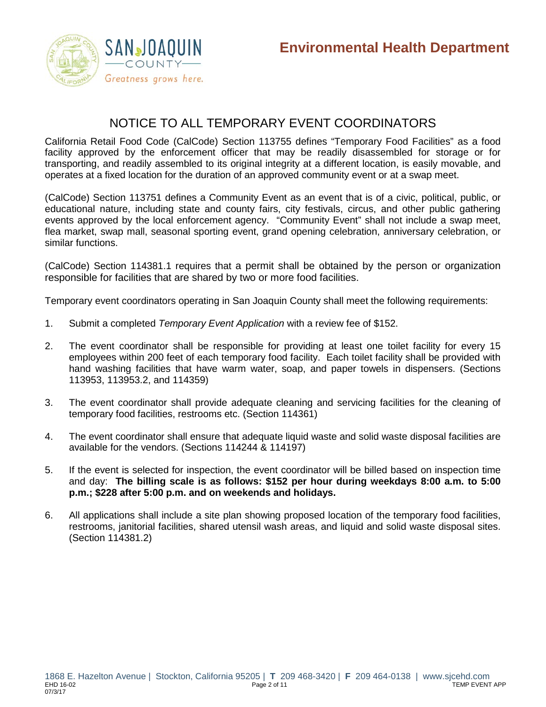

### NOTICE TO ALL TEMPORARY EVENT COORDINATORS

California Retail Food Code (CalCode) Section 113755 defines "Temporary Food Facilities" as a food facility approved by the enforcement officer that may be readily disassembled for storage or for transporting, and readily assembled to its original integrity at a different location, is easily movable, and operates at a fixed location for the duration of an approved community event or at a swap meet.

(CalCode) Section 113751 defines a Community Event as an event that is of a civic, political, public, or educational nature, including state and county fairs, city festivals, circus, and other public gathering events approved by the local enforcement agency. "Community Event" shall not include a swap meet, flea market, swap mall, seasonal sporting event, grand opening celebration, anniversary celebration, or similar functions.

(CalCode) Section 114381.1 requires that a permit shall be obtained by the person or organization responsible for facilities that are shared by two or more food facilities.

Temporary event coordinators operating in San Joaquin County shall meet the following requirements:

- 1. Submit a completed *Temporary Event Application* with a review fee of \$152.
- 2. The event coordinator shall be responsible for providing at least one toilet facility for every 15 employees within 200 feet of each temporary food facility. Each toilet facility shall be provided with hand washing facilities that have warm water, soap, and paper towels in dispensers. (Sections 113953, 113953.2, and 114359)
- 3. The event coordinator shall provide adequate cleaning and servicing facilities for the cleaning of temporary food facilities, restrooms etc. (Section 114361)
- 4. The event coordinator shall ensure that adequate liquid waste and solid waste disposal facilities are available for the vendors. (Sections 114244 & 114197)
- 5. If the event is selected for inspection, the event coordinator will be billed based on inspection time and day: **The billing scale is as follows: \$152 per hour during weekdays 8:00 a.m. to 5:00 p.m.; \$228 after 5:00 p.m. and on weekends and holidays.**
- 6. All applications shall include a site plan showing proposed location of the temporary food facilities, restrooms, janitorial facilities, shared utensil wash areas, and liquid and solid waste disposal sites. (Section 114381.2)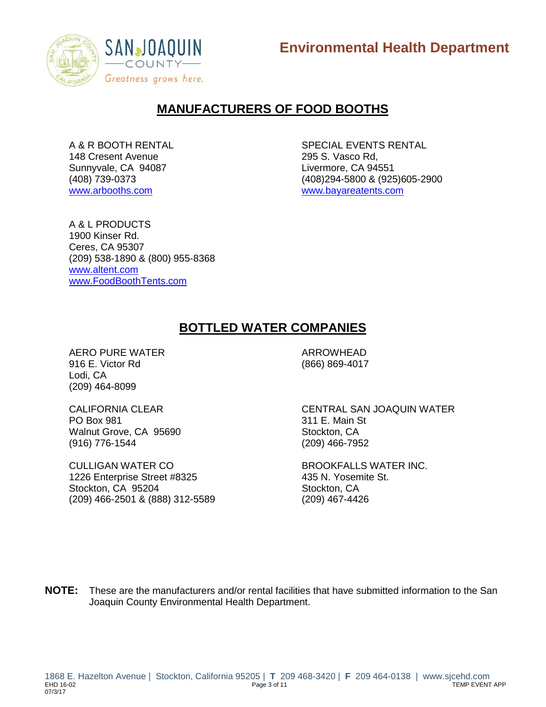



## **MANUFACTURERS OF FOOD BOOTHS**

148 Cresent Avenue 295 S. Vasco Rd, Sunnyvale, CA 94087 Livermore, CA 94551 [www.arbooths.com](http://www.arbooths.com/) [www.bayareatents.com](http://www.bayareatents.com/)

A & R BOOTH RENTAL SPECIAL EVENTS RENTAL (408) 739-0373 (408)294-5800 & (925)605-2900

A & L PRODUCTS 1900 Kinser Rd. Ceres, CA 95307 (209) 538-1890 & (800) 955-8368 [www.altent.com](http://www.altent.com/) [www.FoodBoothTents.com](http://www.foodboothtents.com/)

### **BOTTLED WATER COMPANIES**

AERO PURE WATER ARROWHEAD 916 E. Victor Rd (866) 869-4017 Lodi, CA (209) 464-8099

PO Box 981 311 E. Main St Walnut Grove, CA 95690 Stockton, CA (916) 776-1544 (209) 466-7952

CULLIGAN WATER CO<br>1226 Enterprise Street #8325 435 N. Yosemite St. 1226 Enterprise Street #8325 Stockton, CA 95204 Stockton, CA (209) 466-2501 & (888) 312-5589 (209) 467-4426

CALIFORNIA CLEAR CENTRAL SAN JOAQUIN WATER

**NOTE:** These are the manufacturers and/or rental facilities that have submitted information to the San Joaquin County Environmental Health Department.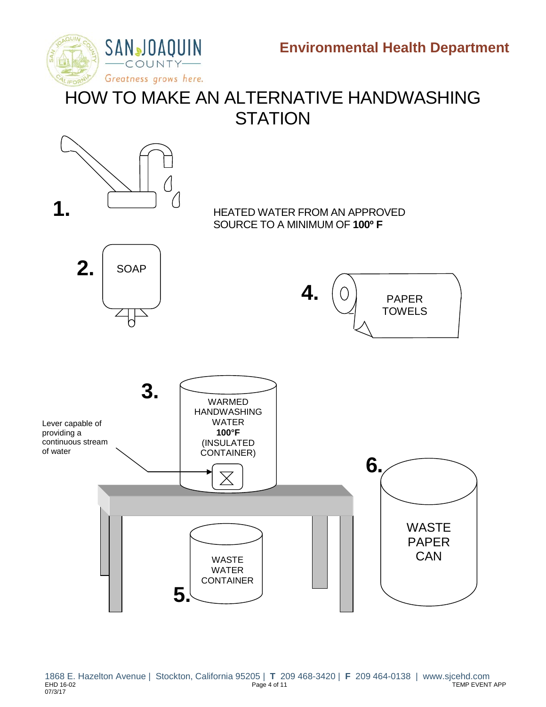

**Environmental Health Department**

# HOW TO MAKE AN ALTERNATIVE HANDWASHING **STATION**

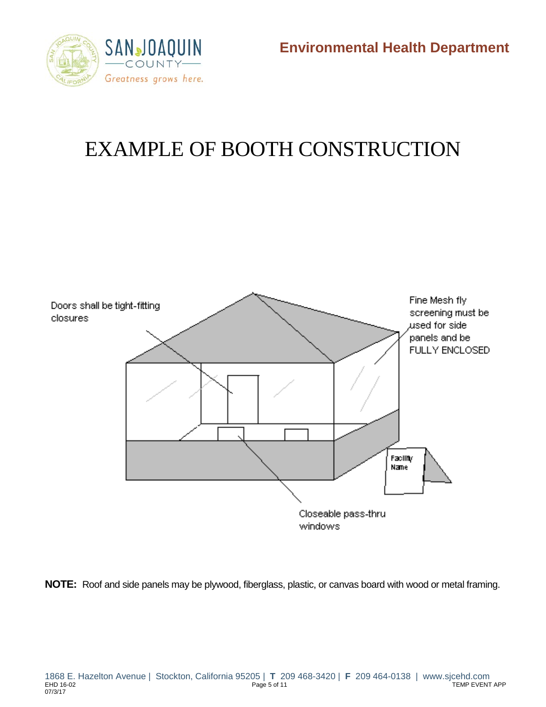



# EXAMPLE OF BOOTH CONSTRUCTION



**NOTE:** Roof and side panels may be plywood, fiberglass, plastic, or canvas board with wood or metal framing.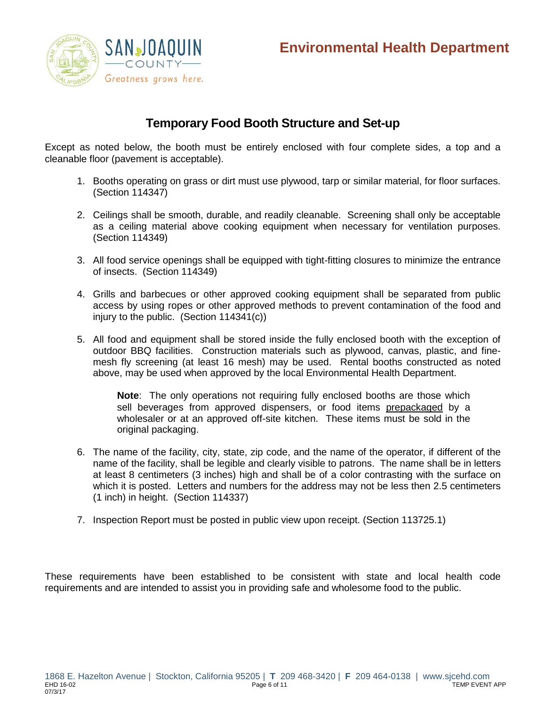



### **Temporary Food Booth Structure and Set-up**

Except as noted below, the booth must be entirely enclosed with four complete sides, a top and a cleanable floor (pavement is acceptable).

- 1. Booths operating on grass or dirt must use plywood, tarp or similar material, for floor surfaces. (Section 114347)
- 2. Ceilings shall be smooth, durable, and readily cleanable. Screening shall only be acceptable as a ceiling material above cooking equipment when necessary for ventilation purposes. (Section 114349)
- 3. All food service openings shall be equipped with tight-fitting closures to minimize the entrance of insects. (Section 114349)
- 4. Grills and barbecues or other approved cooking equipment shall be separated from public access by using ropes or other approved methods to prevent contamination of the food and injury to the public. (Section 114341(c))
- 5. All food and equipment shall be stored inside the fully enclosed booth with the exception of outdoor BBQ facilities. Construction materials such as plywood, canvas, plastic, and finemesh fly screening (at least 16 mesh) may be used. Rental booths constructed as noted above, may be used when approved by the local Environmental Health Department.

**Note**: The only operations not requiring fully enclosed booths are those which sell beverages from approved dispensers, or food items prepackaged by a wholesaler or at an approved off-site kitchen. These items must be sold in the original packaging.

- 6. The name of the facility, city, state, zip code, and the name of the operator, if different of the name of the facility, shall be legible and clearly visible to patrons. The name shall be in letters at least 8 centimeters (3 inches) high and shall be of a color contrasting with the surface on which it is posted. Letters and numbers for the address may not be less then 2.5 centimeters (1 inch) in height. (Section 114337)
- 7. Inspection Report must be posted in public view upon receipt. (Section 113725.1)

These requirements have been established to be consistent with state and local health code requirements and are intended to assist you in providing safe and wholesome food to the public.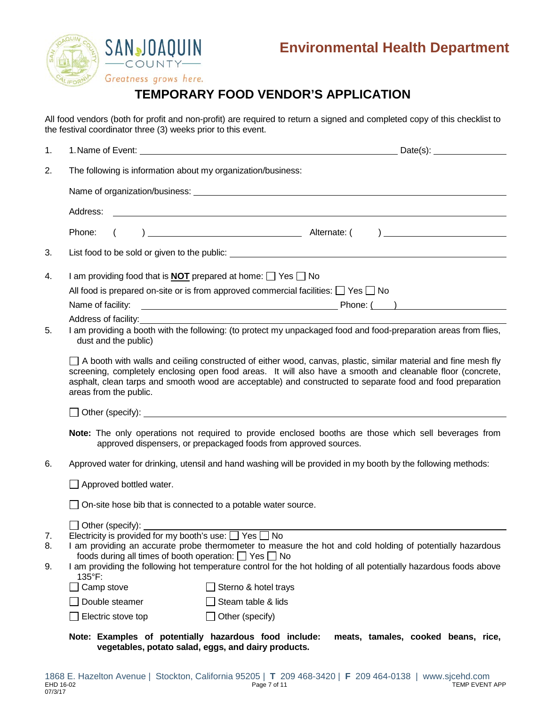

# **TEMPORARY FOOD VENDOR'S APPLICATION**

All food vendors (both for profit and non-profit) are required to return a signed and completed copy of this checklist to the festival coordinator three (3) weeks prior to this event.

| 1.                                                    |                                                                                                                                                                                                                                                  | 1. Name of Event: the contract of the contract of the contract of the contract of the contract of the contract of the contract of the contract of the contract of the contract of the contract of the contract of the contract                                                                                                                    |                                     |
|-------------------------------------------------------|--------------------------------------------------------------------------------------------------------------------------------------------------------------------------------------------------------------------------------------------------|---------------------------------------------------------------------------------------------------------------------------------------------------------------------------------------------------------------------------------------------------------------------------------------------------------------------------------------------------|-------------------------------------|
| 2.                                                    | The following is information about my organization/business:                                                                                                                                                                                     |                                                                                                                                                                                                                                                                                                                                                   |                                     |
|                                                       |                                                                                                                                                                                                                                                  |                                                                                                                                                                                                                                                                                                                                                   |                                     |
|                                                       | Address:                                                                                                                                                                                                                                         | <u> 1989 - Johann Barn, mars eta bat erroman erroman erroman erroman erroman erroman erroman erroman erroman err</u>                                                                                                                                                                                                                              |                                     |
|                                                       | Phone:<br>$\sqrt{2}$                                                                                                                                                                                                                             |                                                                                                                                                                                                                                                                                                                                                   |                                     |
| 3.                                                    |                                                                                                                                                                                                                                                  |                                                                                                                                                                                                                                                                                                                                                   |                                     |
| 4.                                                    |                                                                                                                                                                                                                                                  | I am providing food that is <b>NOT</b> prepared at home: $\Box$ Yes $\Box$ No                                                                                                                                                                                                                                                                     |                                     |
|                                                       |                                                                                                                                                                                                                                                  | All food is prepared on-site or is from approved commercial facilities: $\Box$ Yes $\Box$ No                                                                                                                                                                                                                                                      |                                     |
|                                                       | Name of facility:                                                                                                                                                                                                                                |                                                                                                                                                                                                                                                                                                                                                   |                                     |
|                                                       | Address of facility:                                                                                                                                                                                                                             |                                                                                                                                                                                                                                                                                                                                                   |                                     |
| 5.                                                    | dust and the public)                                                                                                                                                                                                                             | I am providing a booth with the following: (to protect my unpackaged food and food-preparation areas from flies,                                                                                                                                                                                                                                  |                                     |
|                                                       | areas from the public.                                                                                                                                                                                                                           | $\Box$ A booth with walls and ceiling constructed of either wood, canvas, plastic, similar material and fine mesh fly<br>screening, completely enclosing open food areas. It will also have a smooth and cleanable floor (concrete,<br>asphalt, clean tarps and smooth wood are acceptable) and constructed to separate food and food preparation |                                     |
|                                                       |                                                                                                                                                                                                                                                  |                                                                                                                                                                                                                                                                                                                                                   |                                     |
|                                                       |                                                                                                                                                                                                                                                  | Note: The only operations not required to provide enclosed booths are those which sell beverages from<br>approved dispensers, or prepackaged foods from approved sources.                                                                                                                                                                         |                                     |
| 6.                                                    |                                                                                                                                                                                                                                                  | Approved water for drinking, utensil and hand washing will be provided in my booth by the following methods:                                                                                                                                                                                                                                      |                                     |
|                                                       | $\Box$ Approved bottled water.                                                                                                                                                                                                                   |                                                                                                                                                                                                                                                                                                                                                   |                                     |
|                                                       | $\Box$ On-site hose bib that is connected to a potable water source.                                                                                                                                                                             |                                                                                                                                                                                                                                                                                                                                                   |                                     |
|                                                       | $\Box$ Other (specify):                                                                                                                                                                                                                          |                                                                                                                                                                                                                                                                                                                                                   |                                     |
| 7.<br>8.                                              | Electricity is provided for my booth's use: $\Box$ Yes $\Box$ No<br>I am providing an accurate probe thermometer to measure the hot and cold holding of potentially hazardous<br>foods during all times of booth operation: $\Box$ Yes $\Box$ No |                                                                                                                                                                                                                                                                                                                                                   |                                     |
| 9.                                                    | 135°F:                                                                                                                                                                                                                                           | I am providing the following hot temperature control for the hot holding of all potentially hazardous foods above                                                                                                                                                                                                                                 |                                     |
|                                                       | Camp stove                                                                                                                                                                                                                                       | Sterno & hotel trays                                                                                                                                                                                                                                                                                                                              |                                     |
|                                                       | Double steamer                                                                                                                                                                                                                                   | Steam table & lids                                                                                                                                                                                                                                                                                                                                |                                     |
|                                                       | Electric stove top                                                                                                                                                                                                                               | Other (specify)                                                                                                                                                                                                                                                                                                                                   |                                     |
| Note: Examples of potentially hazardous food include: |                                                                                                                                                                                                                                                  |                                                                                                                                                                                                                                                                                                                                                   | meats, tamales, cooked beans, rice, |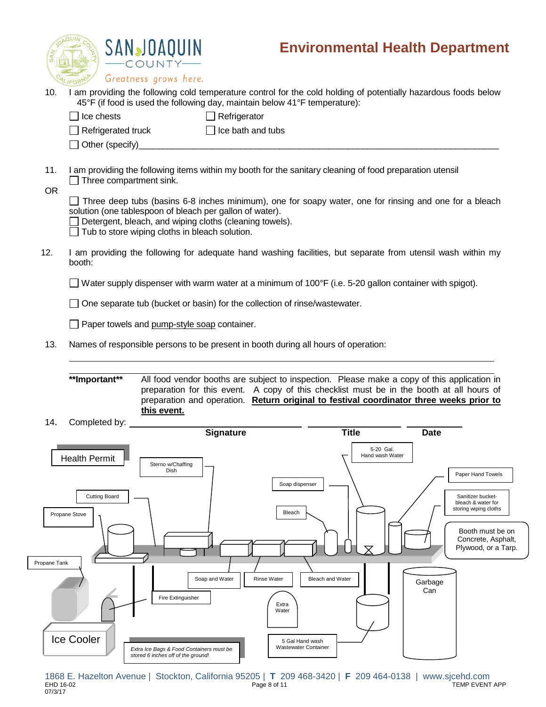| <b>Environmental Health Department</b> |  |  |
|----------------------------------------|--|--|
|----------------------------------------|--|--|

|                  | SANJOAQUIN<br>COUNTY-<br>Greatness grows here.                                                                                                                                                                                                                                                                                                                                                                                | <b>Environmental Health Departmen</b>                                                                                                                                                                                                                                                               |  |
|------------------|-------------------------------------------------------------------------------------------------------------------------------------------------------------------------------------------------------------------------------------------------------------------------------------------------------------------------------------------------------------------------------------------------------------------------------|-----------------------------------------------------------------------------------------------------------------------------------------------------------------------------------------------------------------------------------------------------------------------------------------------------|--|
| 10.              | Ice chests<br>Refrigerated truck<br>Other (specify)_                                                                                                                                                                                                                                                                                                                                                                          | I am providing the following cold temperature control for the cold holding of potentially hazardous foods below<br>45°F (if food is used the following day, maintain below 41°F temperature):<br>Refrigerator<br>$\Box$ Ice bath and tubs                                                           |  |
| 11.<br><b>OR</b> | I am providing the following items within my booth for the sanitary cleaning of food preparation utensil<br>$\Box$ Three compartment sink.<br>Three deep tubs (basins 6-8 inches minimum), one for soapy water, one for rinsing and one for a bleach<br>solution (one tablespoon of bleach per gallon of water).<br>Detergent, bleach, and wiping cloths (cleaning towels).<br>Tub to store wiping cloths in bleach solution. |                                                                                                                                                                                                                                                                                                     |  |
| 12.              | booth:                                                                                                                                                                                                                                                                                                                                                                                                                        | I am providing the following for adequate hand washing facilities, but separate from utensil wash within my<br>Water supply dispenser with warm water at a minimum of 100°F (i.e. 5-20 gallon container with spigot).<br>One separate tub (bucket or basin) for the collection of rinse/wastewater. |  |
| 13.              | Paper towels and pump-style soap container.                                                                                                                                                                                                                                                                                                                                                                                   | Names of responsible persons to be present in booth during all hours of operation:                                                                                                                                                                                                                  |  |
|                  | **Imnortant**                                                                                                                                                                                                                                                                                                                                                                                                                 | All food vendor booths are subject to inspection. Please make a copy of this application in                                                                                                                                                                                                         |  |

**\*Important\*\*** All food vendor booths are subject to inspection. Please make a copy of this application in preparation for this event. A copy of this checklist must be in the booth at all hours of preparation and operation. **Return original to festival coordinator three weeks prior to this event.**



1868 E. Hazelton Avenue | Stockton, California 95205 | **T** 209 468-3420 | **F** 209 464-0138 | www.sjcehd.com EHD 16-02 Page 8 of 11 TEMP EVENT APP 07/3/17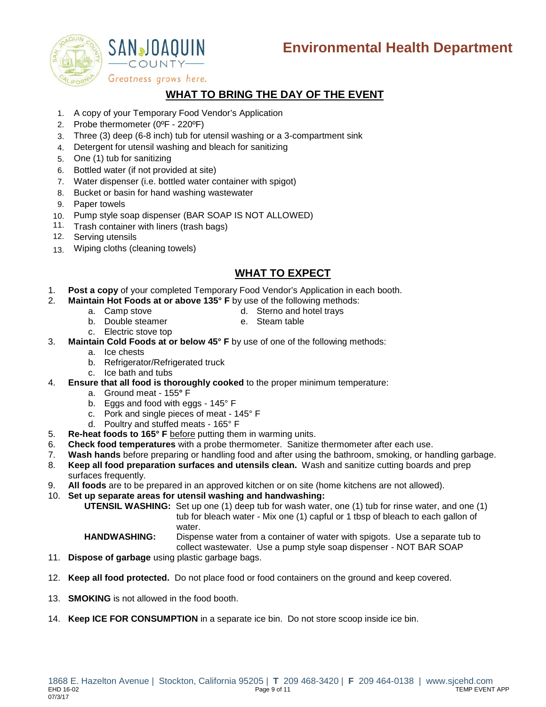



### **WHAT TO BRING THE DAY OF THE EVENT**

- 1. A copy of your Temporary Food Vendor's Application
- 2. Probe thermometer (0ºF 220ºF)
- 3. Three (3) deep (6-8 inch) tub for utensil washing or a 3-compartment sink
- 4. Detergent for utensil washing and bleach for sanitizing
- 5. One (1) tub for sanitizing
- 6. Bottled water (if not provided at site)
- 7. Water dispenser (i.e. bottled water container with spigot)
- 8. Bucket or basin for hand washing wastewater
- 9. Paper towels
- 10. Pump style soap dispenser (BAR SOAP IS NOT ALLOWED)
- 11. Trash container with liners (trash bags)
- 12. Serving utensils
- $13.$ Wiping cloths (cleaning towels)

### **WHAT TO EXPECT**

- 1. **Post a copy** of your completed Temporary Food Vendor's Application in each booth.
- 2. **Maintain Hot Foods at or above 135° F** by use of the following methods:
	-
	- a. Camp stove d. Sterno and hotel trays
	- b. Double steamer e. Steam table c. Electric stove top
		-
- 3. **Maintain Cold Foods at or below 45° F** by use of one of the following methods:
	- a. Ice chests
	- b. Refrigerator/Refrigerated truck
	- c. Ice bath and tubs
- 4. **Ensure that all food is thoroughly cooked** to the proper minimum temperature:
	- a. Ground meat 155**°** F
	- b. Eggs and food with eggs 145° F
	- c. Pork and single pieces of meat 145° F
	- d. Poultry and stuffed meats 165° F
- 5. **Re-heat foods to 165° F** before putting them in warming units.
- 6. **Check food temperatures** with a probe thermometer. Sanitize thermometer after each use.
- 7. **Wash hands** before preparing or handling food and after using the bathroom, smoking, or handling garbage.
- 8. **Keep all food preparation surfaces and utensils clean.** Wash and sanitize cutting boards and prep surfaces frequently.
- 9. **All foods** are to be prepared in an approved kitchen or on site (home kitchens are not allowed).
- 10. **Set up separate areas for utensil washing and handwashing:**

**UTENSIL WASHING:** Set up one (1) deep tub for wash water, one (1) tub for rinse water, and one (1) tub for bleach water - Mix one (1) capful or 1 tbsp of bleach to each gallon of water.

**HANDWASHING:** Dispense water from a container of water with spigots. Use a separate tub to collect wastewater. Use a pump style soap dispenser - NOT BAR SOAP

- 11. **Dispose of garbage** using plastic garbage bags.
- 12. **Keep all food protected.** Do not place food or food containers on the ground and keep covered.
- 13. **SMOKING** is not allowed in the food booth.
- 14. **Keep ICE FOR CONSUMPTION** in a separate ice bin. Do not store scoop inside ice bin.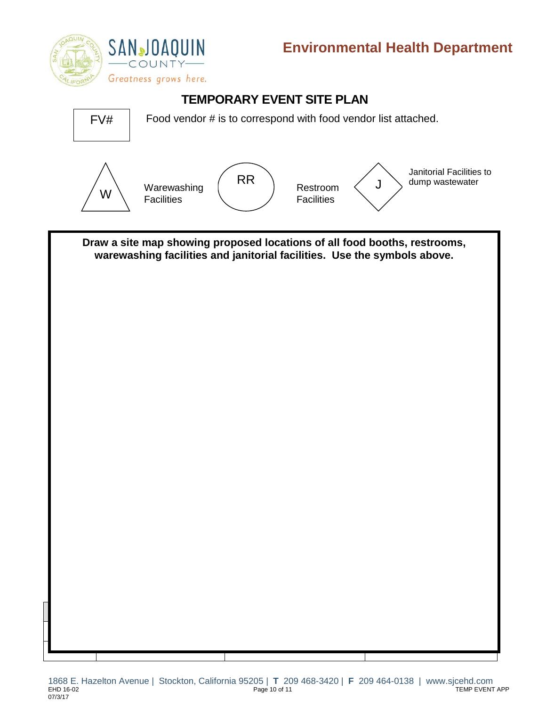

# **TEMPORARY EVENT SITE PLAN**